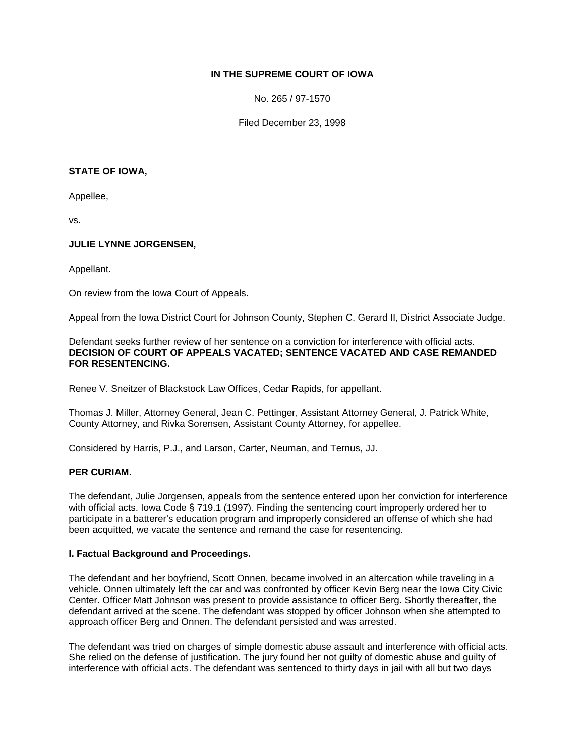# **IN THE SUPREME COURT OF IOWA**

No. 265 / 97-1570

Filed December 23, 1998

#### **STATE OF IOWA,**

Appellee,

vs.

### **JULIE LYNNE JORGENSEN,**

Appellant.

On review from the Iowa Court of Appeals.

Appeal from the Iowa District Court for Johnson County, Stephen C. Gerard II, District Associate Judge.

#### Defendant seeks further review of her sentence on a conviction for interference with official acts. **DECISION OF COURT OF APPEALS VACATED; SENTENCE VACATED AND CASE REMANDED FOR RESENTENCING.**

Renee V. Sneitzer of Blackstock Law Offices, Cedar Rapids, for appellant.

Thomas J. Miller, Attorney General, Jean C. Pettinger, Assistant Attorney General, J. Patrick White, County Attorney, and Rivka Sorensen, Assistant County Attorney, for appellee.

Considered by Harris, P.J., and Larson, Carter, Neuman, and Ternus, JJ.

### **PER CURIAM.**

The defendant, Julie Jorgensen, appeals from the sentence entered upon her conviction for interference with official acts. Iowa Code § 719.1 (1997). Finding the sentencing court improperly ordered her to participate in a batterer's education program and improperly considered an offense of which she had been acquitted, we vacate the sentence and remand the case for resentencing.

### **I. Factual Background and Proceedings.**

The defendant and her boyfriend, Scott Onnen, became involved in an altercation while traveling in a vehicle. Onnen ultimately left the car and was confronted by officer Kevin Berg near the Iowa City Civic Center. Officer Matt Johnson was present to provide assistance to officer Berg. Shortly thereafter, the defendant arrived at the scene. The defendant was stopped by officer Johnson when she attempted to approach officer Berg and Onnen. The defendant persisted and was arrested.

The defendant was tried on charges of simple domestic abuse assault and interference with official acts. She relied on the defense of justification. The jury found her not guilty of domestic abuse and guilty of interference with official acts. The defendant was sentenced to thirty days in jail with all but two days